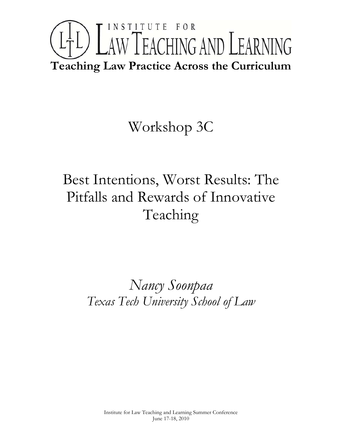# INSTITUTE FOR L<sup>1</sup>L) LAW TEACHING AND LEARNING **Teaching Law Practice Across the Curriculum**

### Workshop 3C

## Best Intentions, Worst Results: The Pitfalls and Rewards of Innovative Teaching

### *Nancy Soonpaa Texas Tech University School of Law*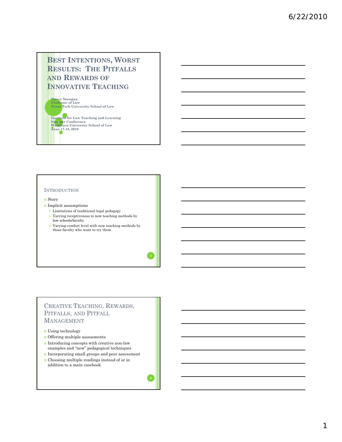### **BEST INTENTIONS, WORST RESULTS: THE PITFALLS AND REWARDS OF INNOVATIVE TEACHING**

**N S ancy oonpaa Professor of Law Texas Tech University School of Law**

**Institute for Law Teaching and Learning Summer Conference Washburn University School of Law June 17-18, 2010 1**

#### **INTRODUCTION**

#### o Story

- <sup>|</sup> Implicit assumptions
	- y Limitations of traditional legal pedagogy
	- y Varying receptiveness to new teaching methods by law schools/faculty
	- y Varying comfort level with new teaching methods by those faculty who want to try them

#### CREATIVE TEACHING, REWARDS, PITFALLS, AND PITFALL MANAGEMENT

- **o** Using technology
- o Offering multiple assessments
- <sup>|</sup> Introducing concepts with creative non-law examples and "new" pedagogical techniques
- <sup>|</sup> Incorporating small groups and peer assessment
- <sup>|</sup> Choosing multiple readings instead of or in addition to a main casebook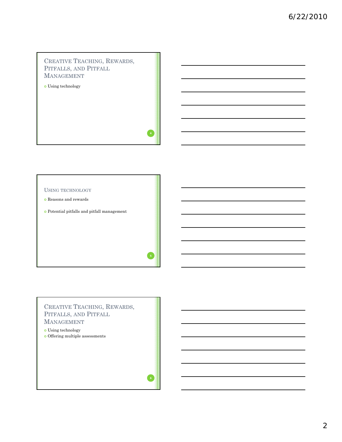### CREATIVE TEACHING, REWARDS, PITFALLS, AND PITFALL MANAGEMENT

o Using technology

#### USING TECHNOLOGY

- $\bullet$  Reasons and rewards
- $\bullet$  Potential pitfalls and pitfall management

### CREATIVE TEACHING, REWARDS, PITFALLS, AND PITFALL MANAGEMENT

#### o Using technology

<sup>|</sup> Offering multiple assessments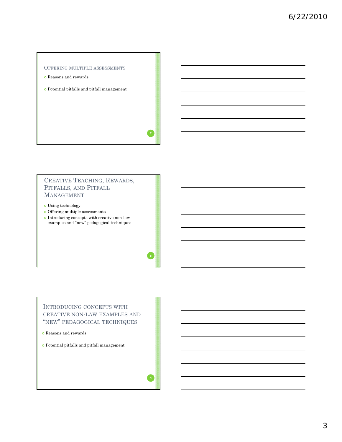

- $\bullet$  Reasons and rewards
- $\bullet$  Potential pitfalls and pitfall management

### CREATIVE TEACHING, REWARDS, PITFALLS, AND PITFALL MANAGEMENT

 $\bullet$  Using technology

- $\bullet$  Offering multiple assessments
- $\bullet$  <br> Introducing concepts with creative non-law examples and "new" pedagogical techniques

### INTRODUCING CONCEPTS WITH CREATIVE NON-LAW EXAMPLES AND "NEW" PEDAGOGICAL TECHNIQUES

<sup>|</sup> Reasons and rewards

<sup>|</sup> Potential pitfalls and pitfall management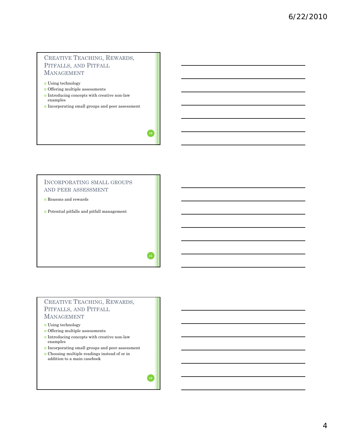#### CREATIVE TEACHING, REWARDS, PITFALLS, AND PITFALL MANAGEMENT

- $\bullet$  Using technology
- $\bullet$  Offering multiple assessments
- $\bullet$  <br> Introducing concepts with creative non-law examples
- <sup>|</sup> Incorporating small groups and peer assessment

#### INCORPORATING SMALL GROUPS AND PEER ASSESSMENT

- <sup>|</sup> Reasons and rewards
- $\bullet$  Potential pitfalls and pitfall management

#### CREATIVE TEACHING, REWARDS, PITFALLS, AND PITFALL MANAGEMENT

#### $\bullet$  Using technology

- $\bullet$  Offering multiple assessments
- $\bullet$  <br> Introducing concepts with creative non-law examples
- <sup>|</sup> Incorporating small groups and peer assessment <sup>|</sup> Choosing multiple readings instead of or in addition to a main casebook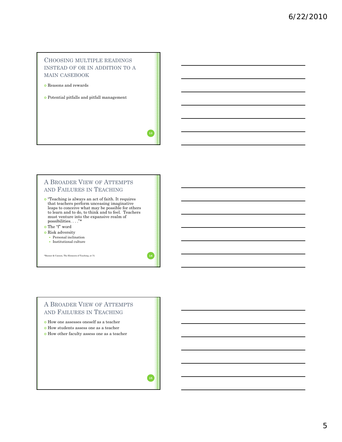#### CHOOSING MULTIPLE READINGS INSTEAD OF OR IN ADDITION TO A MAIN CASEBOOK

- <sup>|</sup> Reasons and rewards
- <sup>|</sup> Potential pitfalls and pitfall management

#### A BROADER VIEW OF ATTEMPTS AND FAILURES IN TEACHING

<sup>|</sup> "Teaching is always an act of faith. It requires that teachers perform unceasing imaginative leaps to conceive what may be possible for others to learn and to do, to think and to feel. Teachers must venture into the expansive realm of possibilities possibilities. . . ."\*

<sup>|</sup> The "f" word

- **o** Risk adversity
	- $\bullet$  Personal inclination
	- $\bullet$  Institutional culture

\*Banner & Cannon, The Elements of Teaching, at 75. **14**

#### A BROADER VIEW OF ATTEMPTS AND FAILURES IN TEACHING

- <sup>|</sup> How one assesses oneself as a teacher
- $\bullet$  How students assess one as a teacher
- $\bullet$  How other faculty assess one as a teacher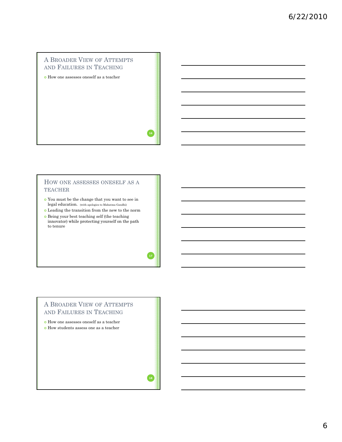### A BROADER VIEW OF ATTEMPTS AND FAILURES IN TEACHING

 $\bullet$  How one assesses oneself as a teacher

#### HOW ONE ASSESSES ONESELF AS A TEACHER

- $\bullet$  You must be the change that you want to see in legal education. (with apologies to Mahatma Gandhi)
- <sup>|</sup> Leading the transition from the new to the norm
- <sup>|</sup> Being your best teaching self (the teaching innovator) while protecting yourself on the path to tenure

#### A BROADER VIEW OF ATTEMPTS AND FAILURES IN TEACHING

- <sup>|</sup> How one assesses oneself as a teacher
- $\bullet$  How students assess one as a teacher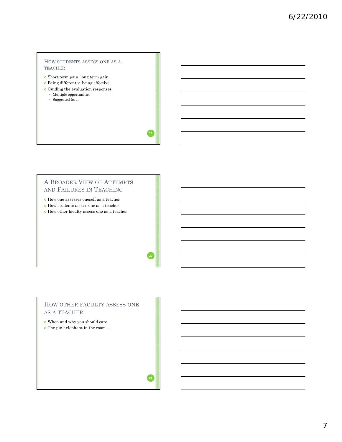#### HOW STUDENTS ASSESS ONE AS A TEACHER

 $\bullet$  Short term pain, long term gain

- $\bullet$  Being different v. being effective
- <sup>|</sup> Guiding the evaluation responses
	- $\bullet$  Multiple opportunities
	- Suggested focus

#### A BROADER VIEW OF ATTEMPTS AND FAILURES IN TEACHING

- <sup>|</sup> How one assesses oneself as a teacher
- <sup>|</sup> How students assess one as a teacher
- $\bullet$  How other faculty assess one as a teacher

#### HOW OTHER FACULTY ASSESS ONE AS A TEACHER

- $\bullet$  When and why you should care
- $\bullet$  The pink elephant in the room . . .